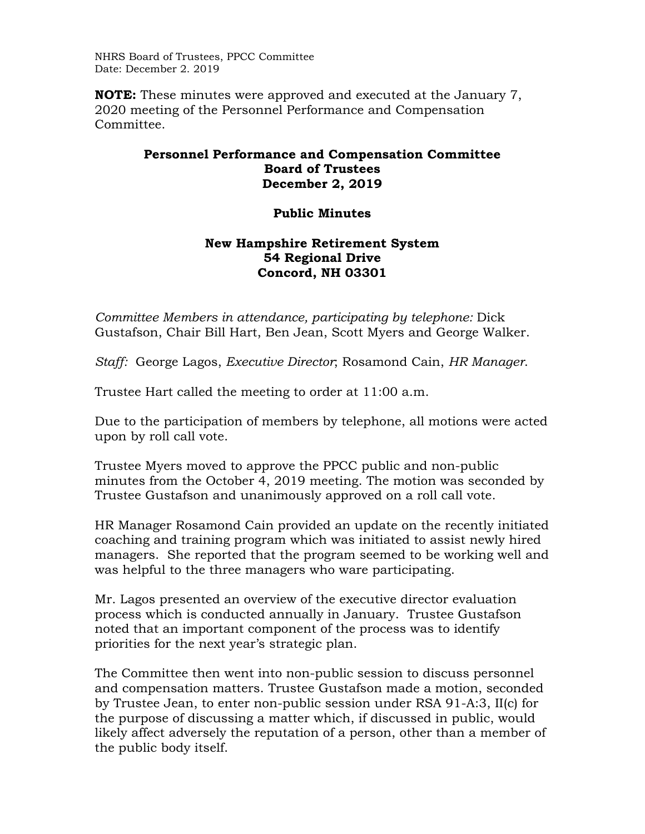NHRS Board of Trustees, PPCC Committee Date: December 2. 2019

**NOTE:** These minutes were approved and executed at the January 7, 2020 meeting of the Personnel Performance and Compensation Committee.

## **Personnel Performance and Compensation Committee Board of Trustees December 2, 2019**

## **Public Minutes**

## **New Hampshire Retirement System 54 Regional Drive Concord, NH 03301**

*Committee Members in attendance, participating by telephone: Dick* Gustafson, Chair Bill Hart, Ben Jean, Scott Myers and George Walker.

*Staff:* George Lagos, *Executive Director*; Rosamond Cain, *HR Manager*.

Trustee Hart called the meeting to order at 11:00 a.m.

Due to the participation of members by telephone, all motions were acted upon by roll call vote.

Trustee Myers moved to approve the PPCC public and non-public minutes from the October 4, 2019 meeting. The motion was seconded by Trustee Gustafson and unanimously approved on a roll call vote.

HR Manager Rosamond Cain provided an update on the recently initiated coaching and training program which was initiated to assist newly hired managers. She reported that the program seemed to be working well and was helpful to the three managers who ware participating.

Mr. Lagos presented an overview of the executive director evaluation process which is conducted annually in January. Trustee Gustafson noted that an important component of the process was to identify priorities for the next year's strategic plan.

The Committee then went into non-public session to discuss personnel and compensation matters. Trustee Gustafson made a motion, seconded by Trustee Jean, to enter non-public session under RSA 91-A:3, II(c) for the purpose of discussing a matter which, if discussed in public, would likely affect adversely the reputation of a person, other than a member of the public body itself.